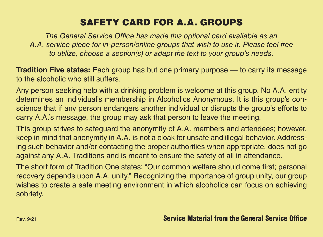## SAFETY CARD FOR A.A. GROUPS

*The General Service Office has made this optional card available as an A.A. service piece for in-person/online groups that wish to use it. Please feel free to utilize, choose a section(s) or adapt the text to your group's needs.*

**Tradition Five states:** Each group has but one primary purpose — to carry its message to the alcoholic who still suffers.

Any person seeking help with a drinking problem is welcome at this group. No A.A. entity determines an individual's membership in Alcoholics Anonymous. It is this group's conscience that if any person endangers another individual or disrupts the group's efforts to carry A.A.'s message, the group may ask that person to leave the meeting.

This group strives to safeguard the anonymity of A.A. members and attendees; however, keep in mind that anonymity in A.A. is not a cloak for unsafe and illegal behavior. Addressing such behavior and/or contacting the proper authorities when appropriate, does not go against any A.A. Traditions and is meant to ensure the safety of all in attendance.

The short form of Tradition One states: "Our common welfare should come first; personal recovery depends upon A.A. unity." Recognizing the importance of group unity, our group wishes to create a safe meeting environment in which alcoholics can focus on achieving sobriety.